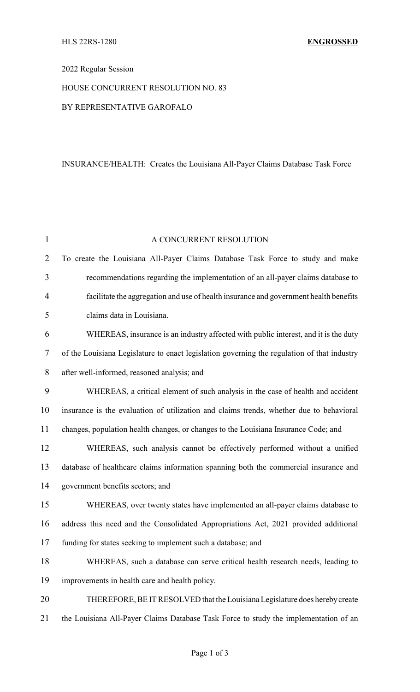### 2022 Regular Session

# HOUSE CONCURRENT RESOLUTION NO. 83

#### BY REPRESENTATIVE GAROFALO

# INSURANCE/HEALTH: Creates the Louisiana All-Payer Claims Database Task Force

| $\mathbf{1}$   | A CONCURRENT RESOLUTION                                                                     |  |  |
|----------------|---------------------------------------------------------------------------------------------|--|--|
| $\overline{2}$ | To create the Louisiana All-Payer Claims Database Task Force to study and make              |  |  |
| 3              | recommendations regarding the implementation of an all-payer claims database to             |  |  |
| 4              | facilitate the aggregation and use of health insurance and government health benefits       |  |  |
| 5              | claims data in Louisiana.                                                                   |  |  |
| 6              | WHEREAS, insurance is an industry affected with public interest, and it is the duty         |  |  |
| $\overline{7}$ | of the Louisiana Legislature to enact legislation governing the regulation of that industry |  |  |
| 8              | after well-informed, reasoned analysis; and                                                 |  |  |
| 9              | WHEREAS, a critical element of such analysis in the case of health and accident             |  |  |
| 10             | insurance is the evaluation of utilization and claims trends, whether due to behavioral     |  |  |
| 11             | changes, population health changes, or changes to the Louisiana Insurance Code; and         |  |  |
| 12             | WHEREAS, such analysis cannot be effectively performed without a unified                    |  |  |
| 13             | database of healthcare claims information spanning both the commercial insurance and        |  |  |
| 14             | government benefits sectors; and                                                            |  |  |
| 15             | WHEREAS, over twenty states have implemented an all-payer claims database to                |  |  |
| 16             | address this need and the Consolidated Appropriations Act, 2021 provided additional         |  |  |
| 17             | funding for states seeking to implement such a database; and                                |  |  |
| 18             | WHEREAS, such a database can serve critical health research needs, leading to               |  |  |
| 19             | improvements in health care and health policy.                                              |  |  |
| 20             | THEREFORE, BE IT RESOLVED that the Louisiana Legislature does hereby create                 |  |  |
| 21             | the Louisiana All-Payer Claims Database Task Force to study the implementation of an        |  |  |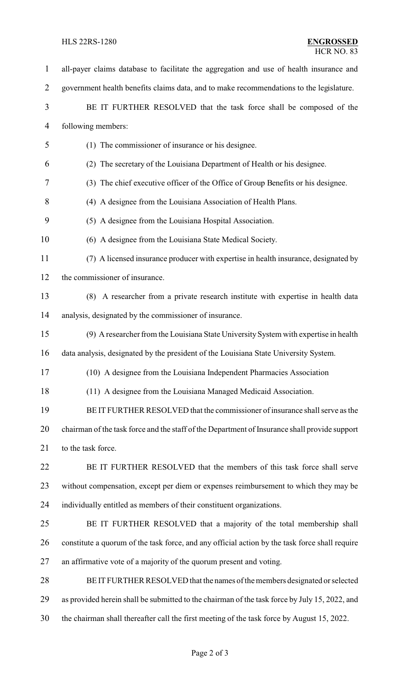# HLS 22RS-1280 **ENGROSSED**

| $\mathbf{1}$   | all-payer claims database to facilitate the aggregation and use of health insurance and        |  |  |
|----------------|------------------------------------------------------------------------------------------------|--|--|
| $\overline{2}$ | government health benefits claims data, and to make recommendations to the legislature.        |  |  |
| 3              | BE IT FURTHER RESOLVED that the task force shall be composed of the                            |  |  |
| 4              | following members:                                                                             |  |  |
| 5              | (1) The commissioner of insurance or his designee.                                             |  |  |
| 6              | (2) The secretary of the Louisiana Department of Health or his designee.                       |  |  |
| 7              | (3) The chief executive officer of the Office of Group Benefits or his designee.               |  |  |
| 8              | (4) A designee from the Louisiana Association of Health Plans.                                 |  |  |
| 9              | (5) A designee from the Louisiana Hospital Association.                                        |  |  |
| 10             | (6) A designee from the Louisiana State Medical Society.                                       |  |  |
| 11             | (7) A licensed insurance producer with expertise in health insurance, designated by            |  |  |
| 12             | the commissioner of insurance.                                                                 |  |  |
| 13             | (8) A researcher from a private research institute with expertise in health data               |  |  |
| 14             | analysis, designated by the commissioner of insurance.                                         |  |  |
| 15             | (9) A researcher from the Louisiana State University System with expertise in health           |  |  |
| 16             | data analysis, designated by the president of the Louisiana State University System.           |  |  |
| 17             | (10) A designee from the Louisiana Independent Pharmacies Association                          |  |  |
| 18             | (11) A designee from the Louisiana Managed Medicaid Association.                               |  |  |
| 19             | BE IT FURTHER RESOLVED that the commissioner of insurance shall serve as the                   |  |  |
| 20             | chairman of the task force and the staff of the Department of Insurance shall provide support  |  |  |
| 21             | to the task force.                                                                             |  |  |
| 22             | BE IT FURTHER RESOLVED that the members of this task force shall serve                         |  |  |
| 23             | without compensation, except per diem or expenses reimbursement to which they may be           |  |  |
| 24             | individually entitled as members of their constituent organizations.                           |  |  |
| 25             | BE IT FURTHER RESOLVED that a majority of the total membership shall                           |  |  |
| 26             | constitute a quorum of the task force, and any official action by the task force shall require |  |  |
| 27             | an affirmative vote of a majority of the quorum present and voting.                            |  |  |
| 28             | BE IT FURTHER RESOLVED that the names of the members designated or selected                    |  |  |
| 29             | as provided herein shall be submitted to the chairman of the task force by July 15, 2022, and  |  |  |
| 30             | the chairman shall thereafter call the first meeting of the task force by August 15, 2022.     |  |  |